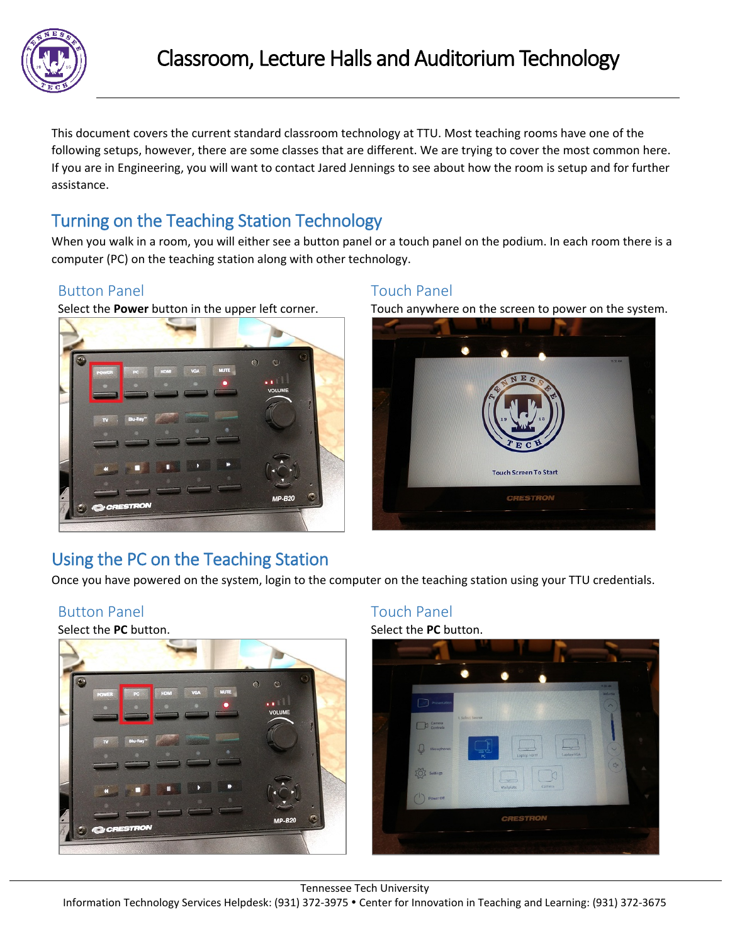

This document covers the current standard classroom technology at TTU. Most teaching rooms have one of the following setups, however, there are some classes that are different. We are trying to cover the most common here. If you are in Engineering, you will want to contact Jared Jennings to see about how the room is setup and for further assistance.

# Turning on the Teaching Station Technology

When you walk in a room, you will either see a button panel or a touch panel on the podium. In each room there is a computer (PC) on the teaching station along with other technology.

### Button Panel **Touch Panel** Touch Panel



Select the **Power** button in the upper left corner. Touch anywhere on the screen to power on the system.



# Using the PC on the Teaching Station

Once you have powered on the system, login to the computer on the teaching station using your TTU credentials.

#### Button Panel **Touch Panel** Touch Panel

Select the **PC** button. Select the **PC** button.



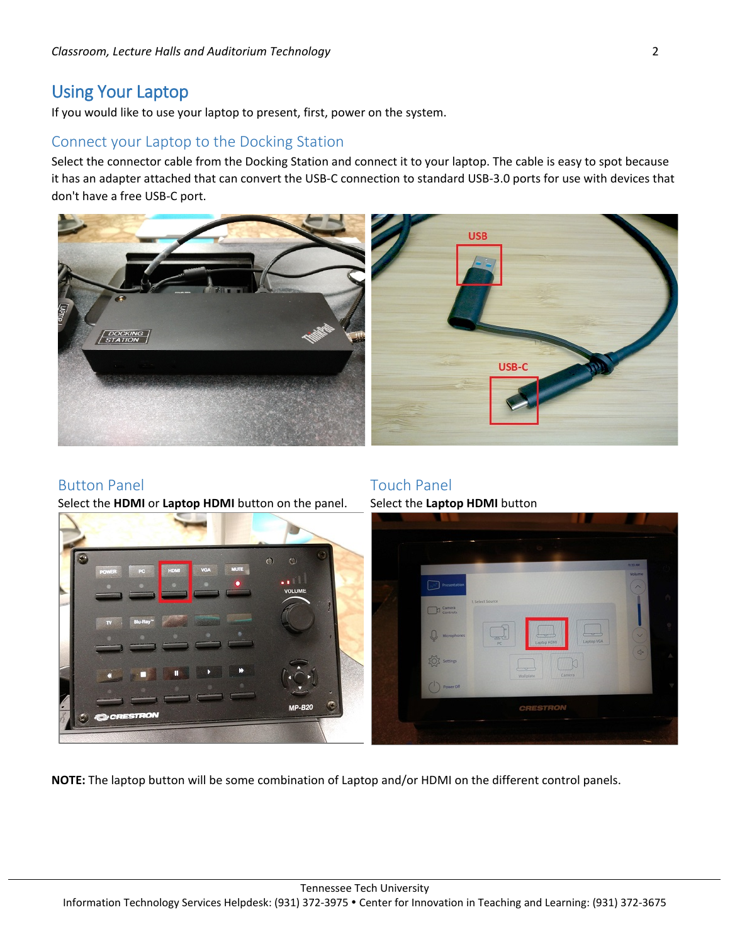## Using Your Laptop

If you would like to use your laptop to present, first, power on the system.

#### Connect your Laptop to the Docking Station

Select the connector cable from the Docking Station and connect it to your laptop. The cable is easy to spot because it has an adapter attached that can convert the USB-C connection to standard USB-3.0 ports for use with devices that don't have a free USB-C port.



#### Button Panel **Touch Panel** Touch Panel

Select the **HDMI** or **Laptop HDMI** button on the panel. Select the **Laptop HDMI** button



**NOTE:** The laptop button will be some combination of Laptop and/or HDMI on the different control panels.